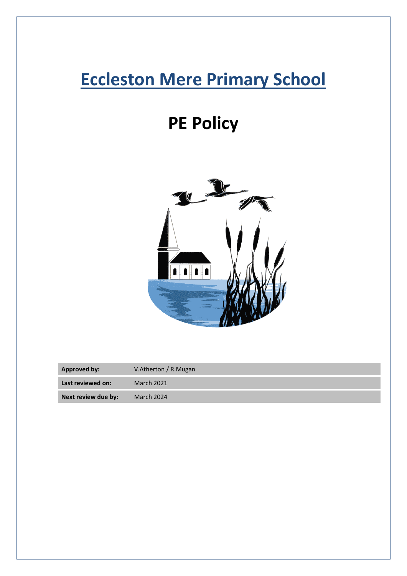## **Eccleston Mere Primary School**

# **PE Policy**



| <b>Approved by:</b> | V.Atherton / R.Mugan |
|---------------------|----------------------|
| Last reviewed on:   | <b>March 2021</b>    |
| Next review due by: | March 2024           |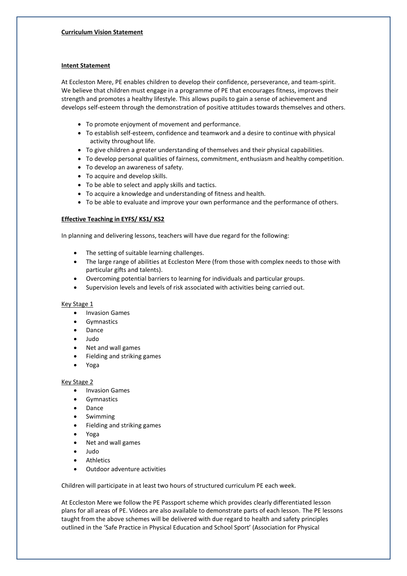## **Intent Statement**

At Eccleston Mere, PE enables children to develop their confidence, perseverance, and team-spirit. We believe that children must engage in a programme of PE that encourages fitness, improves their strength and promotes a healthy lifestyle. This allows pupils to gain a sense of achievement and develops self-esteem through the demonstration of positive attitudes towards themselves and others.

- To promote enjoyment of movement and performance.
- To establish self-esteem, confidence and teamwork and a desire to continue with physical activity throughout life.
- To give children a greater understanding of themselves and their physical capabilities.
- To develop personal qualities of fairness, commitment, enthusiasm and healthy competition.
- To develop an awareness of safety.
- To acquire and develop skills.
- To be able to select and apply skills and tactics.
- To acquire a knowledge and understanding of fitness and health.
- To be able to evaluate and improve your own performance and the performance of others.

## **Effective Teaching in EYFS/ KS1/ KS2**

In planning and delivering lessons, teachers will have due regard for the following:

- The setting of suitable learning challenges.
- The large range of abilities at Eccleston Mere (from those with complex needs to those with particular gifts and talents).
- Overcoming potential barriers to learning for individuals and particular groups.
- Supervision levels and levels of risk associated with activities being carried out.

## Key Stage 1

- Invasion Games
- **Gymnastics**
- **Dance**
- Judo
- Net and wall games
- Fielding and striking games
- Yoga

## Key Stage 2

- Invasion Games
- **Gymnastics**
- Dance
- **Swimming**
- Fielding and striking games
- Yoga
- Net and wall games
- Judo
- **Athletics**
- Outdoor adventure activities

Children will participate in at least two hours of structured curriculum PE each week.

At Eccleston Mere we follow the PE Passport scheme which provides clearly differentiated lesson plans for all areas of PE. Videos are also available to demonstrate parts of each lesson. The PE lessons taught from the above schemes will be delivered with due regard to health and safety principles outlined in the 'Safe Practice in Physical Education and School Sport' (Association for Physical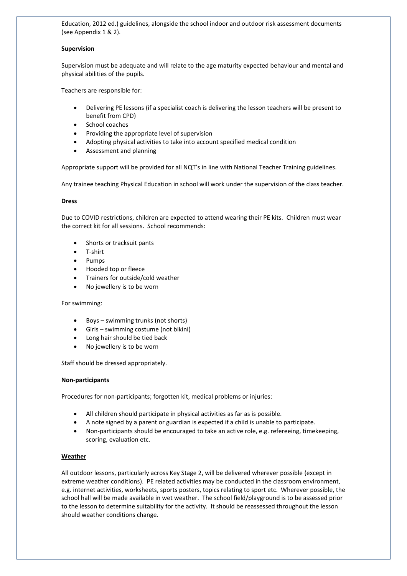Education, 2012 ed.) guidelines, alongside the school indoor and outdoor risk assessment documents (see Appendix 1 & 2).

#### **Supervision**

Supervision must be adequate and will relate to the age maturity expected behaviour and mental and physical abilities of the pupils.

Teachers are responsible for:

- Delivering PE lessons (if a specialist coach is delivering the lesson teachers will be present to benefit from CPD)
- School coaches
- Providing the appropriate level of supervision
- Adopting physical activities to take into account specified medical condition
- Assessment and planning

Appropriate support will be provided for all NQT's in line with National Teacher Training guidelines.

Any trainee teaching Physical Education in school will work under the supervision of the class teacher.

#### **Dress**

Due to COVID restrictions, children are expected to attend wearing their PE kits. Children must wear the correct kit for all sessions. School recommends:

- Shorts or tracksuit pants
- T-shirt
- Pumps
- Hooded top or fleece
- Trainers for outside/cold weather
- No jewellery is to be worn

#### For swimming:

- Boys swimming trunks (not shorts)
- Girls swimming costume (not bikini)
- Long hair should be tied back
- No jewellery is to be worn

Staff should be dressed appropriately.

#### **Non-participants**

Procedures for non-participants; forgotten kit, medical problems or injuries:

- All children should participate in physical activities as far as is possible.
- A note signed by a parent or guardian is expected if a child is unable to participate.
- Non-participants should be encouraged to take an active role, e.g. refereeing, timekeeping, scoring, evaluation etc.

#### **Weather**

All outdoor lessons, particularly across Key Stage 2, will be delivered wherever possible (except in extreme weather conditions). PE related activities may be conducted in the classroom environment, e.g. internet activities, worksheets, sports posters, topics relating to sport etc. Wherever possible, the school hall will be made available in wet weather. The school field/playground is to be assessed prior to the lesson to determine suitability for the activity. It should be reassessed throughout the lesson should weather conditions change.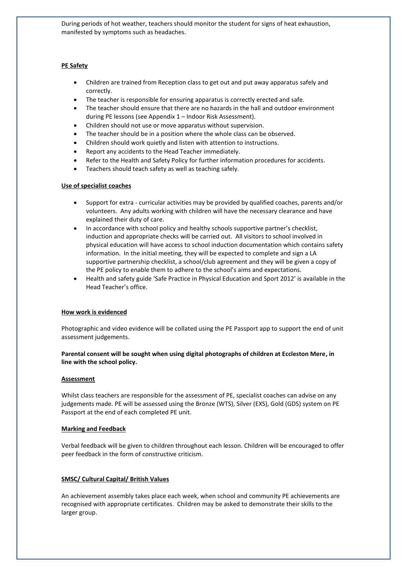During periods of hot weather, teachers should monitor the student for signs of heat exhaustion, manifested by symptoms such as headaches.

## **PE Safety**

- Children are trained from Reception class to get out and put away apparatus safely and correctly.
- The teacher is responsible for ensuring apparatus is correctly erected and safe.
- The teacher should ensure that there are no hazards in the hall and outdoor environment during PE lessons (see Appendix 1 – Indoor Risk Assessment).
- Children should not use or move apparatus without supervision.
- The teacher should be in a position where the whole class can be observed.
- Children should work quietly and listen with attention to instructions.
- Report any accidents to the Head Teacher immediately.
- Refer to the Health and Safety Policy for further information procedures for accidents.
- Teachers should teach safety as well as teaching safely.

#### **Use of specialist coaches**

- Support for extra curricular activities may be provided by qualified coaches, parents and/or volunteers. Any adults working with children will have the necessary clearance and have explained their duty of care.
- In accordance with school policy and healthy schools supportive partner's checklist, induction and appropriate checks will be carried out. All visitors to school involved in physical education will have access to school induction documentation which contains safety information. In the initial meeting, they will be expected to complete and sign a LA supportive partnership checklist, a school/club agreement and they will be given a copy of the PE policy to enable them to adhere to the school's aims and expectations.
- Health and safety guide 'Safe Practice in Physical Education and Sport 2012' is available in the Head Teacher's office.

#### **How work is evidenced**

Photographic and video evidence will be collated using the PE Passport app to support the end of unit assessment judgements.

## **Parental consent will be sought when using digital photographs of children at Eccleston Mere, in line with the school policy.**

#### **Assessment**

Whilst class teachers are responsible for the assessment of PE, specialist coaches can advise on any judgements made. PE will be assessed using the Bronze (WTS), Silver (EXS), Gold (GDS) system on PE Passport at the end of each completed PE unit.

#### **Marking and Feedback**

Verbal feedback will be given to children throughout each lesson. Children will be encouraged to offer peer feedback in the form of constructive criticism.

#### **SMSC/ Cultural Capital/ British Values**

An achievement assembly takes place each week, when school and community PE achievements are recognised with appropriate certificates. Children may be asked to demonstrate their skills to the larger group.